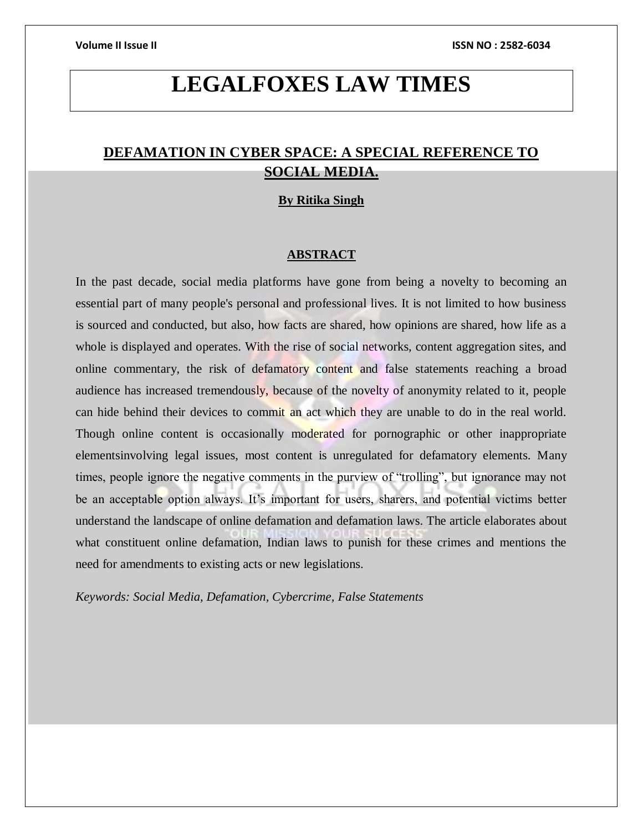# **LEGALFOXES LAW TIMES**

## **DEFAMATION IN CYBER SPACE: A SPECIAL REFERENCE TO SOCIAL MEDIA.**

### **By Ritika Singh**

### **ABSTRACT**

In the past decade, social media platforms have gone from being a novelty to becoming an essential part of many people's personal and professional lives. It is not limited to how business is sourced and conducted, but also, how facts are shared, how opinions are shared, how life as a whole is displayed and operates. With the rise of social networks, content aggregation sites, and online commentary, the risk of defamatory content and false statements reaching a broad audience has increased tremendously, because of the novelty of anonymity related to it, people can hide behind their devices to commit an act which they are unable to do in the real world. Though online content is occasionally moderated for pornographic or other inappropriate elementsinvolving legal issues, most content is unregulated for defamatory elements. Many times, people ignore the negative comments in the purview of "trolling", but ignorance may not be an acceptable option always. It's important for users, sharers, and potential victims better understand the landscape of online defamation and defamation laws. The article elaborates about what constituent online defamation, Indian laws to punish for these crimes and mentions the need for amendments to existing acts or new legislations.

*Keywords: Social Media, Defamation, Cybercrime, False Statements*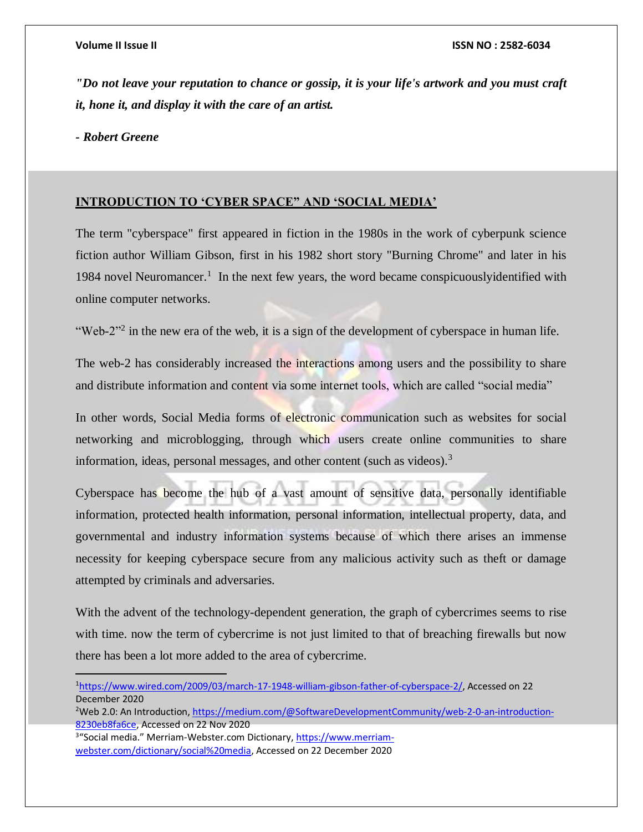*"Do not leave your reputation to chance or gossip, it is your life's artwork and you must craft it, hone it, and display it with the care of an artist.*

*- Robert Greene*

 $\overline{a}$ 

## **INTRODUCTION TO 'CYBER SPACE" AND 'SOCIAL MEDIA'**

The term "cyberspace" first appeared in fiction in the 1980s in the work of cyberpunk science fiction author William Gibson, first in his 1982 short story "Burning Chrome" and later in his 1984 novel Neuromancer.<sup>1</sup> In the next few years, the word became conspicuously identified with online computer networks.

"Web-2"<sup>2</sup> in the new era of the web, it is a sign of the development of cyberspace in human life.

The web-2 has considerably increased the interactions among users and the possibility to share and distribute information and content via some internet tools, which are called "social media"

In other words, Social Media forms of electronic communication such as websites for social networking and microblogging, through which users create online communities to share information, ideas, personal messages, and other content (such as videos).<sup>3</sup>

Cyberspace has become the hub of a vast amount of sensitive data, personally identifiable information, protected health information, personal information, intellectual property, data, and governmental and industry information systems because of which there arises an immense necessity for keeping cyberspace secure from any malicious activity such as theft or damage attempted by criminals and adversaries.

With the advent of the technology-dependent generation, the graph of cybercrimes seems to rise with time. now the term of cybercrime is not just limited to that of breaching firewalls but now there has been a lot more added to the area of cybercrime.

<sup>3</sup>"Social media." Merriam-Webster.com Dictionary[, https://www.merriam](https://www.merriam-webster.com/dictionary/social%20media)[webster.com/dictionary/social%20media,](https://www.merriam-webster.com/dictionary/social%20media) Accessed on 22 December 2020

<sup>1</sup>[https://www.wired.com/2009/03/march-17-1948-william-gibson-father-of-cyberspace-2/,](https://www.wired.com/2009/03/march-17-1948-william-gibson-father-of-cyberspace-2/) Accessed on 22 December 2020

<sup>&</sup>lt;sup>2</sup>Web 2.0: An Introduction[, https://medium.com/@SoftwareDevelopmentCommunity/web-2-0-an-introduction-](https://medium.com/@SoftwareDevelopmentCommunity/web-2-0-an-introduction-8230eb8fa6ce)[8230eb8fa6ce,](https://medium.com/@SoftwareDevelopmentCommunity/web-2-0-an-introduction-8230eb8fa6ce) Accessed on 22 Nov 2020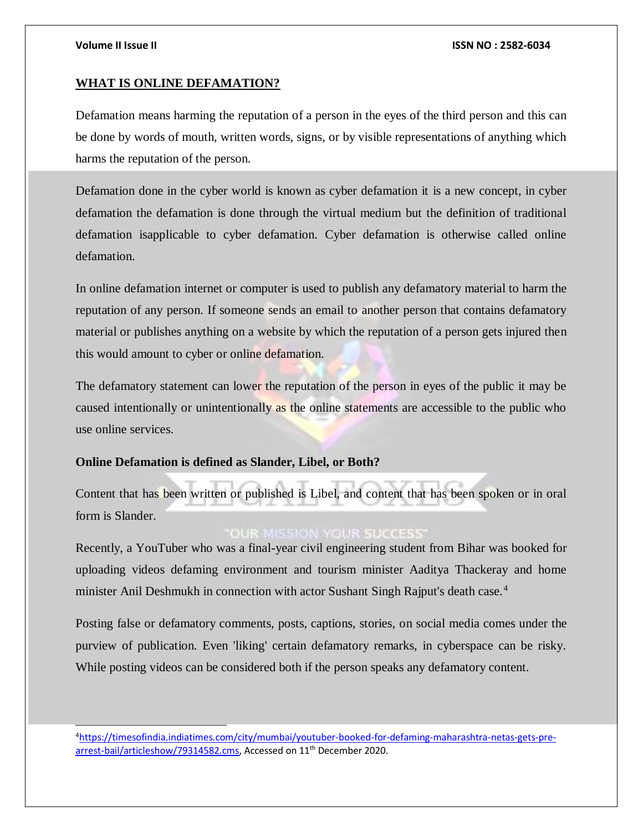l

#### **Volume II Issue II ISSN NO : 2582-6034**

### **WHAT IS ONLINE DEFAMATION?**

Defamation means harming the reputation of a person in the eyes of the third person and this can be done by words of mouth, written words, signs, or by visible representations of anything which harms the reputation of the person.

Defamation done in the cyber world is known as cyber defamation it is a new concept, in cyber defamation the defamation is done through the virtual medium but the definition of traditional defamation isapplicable to cyber defamation. Cyber defamation is otherwise called online defamation.

In online defamation internet or computer is used to publish any defamatory material to harm the reputation of any person. If someone sends an email to another person that contains defamatory material or publishes anything on a website by which the reputation of a person gets injured then this would amount to cyber or online defamation.

The defamatory statement can lower the reputation of the person in eyes of the public it may be caused intentionally or unintentionally as the online statements are accessible to the public who use online services.

## **Online Defamation is defined as Slander, Libel, or Both?**

Content that has been written or published is Libel, and content that has been spoken or in oral form is Slander.

## **OUR MISSION YOUR SUCCESS**

Recently, a YouTuber who was a final-year civil engineering student from Bihar was booked for uploading videos defaming environment and tourism minister Aaditya Thackeray and home minister Anil Deshmukh in connection with actor Sushant Singh Rajput's death case.<sup>4</sup>

Posting false or defamatory comments, posts, captions, stories, on social media comes under the purview of publication. Even 'liking' certain defamatory remarks, in cyberspace can be risky. While posting videos can be considered both if the person speaks any defamatory content.

4[https://timesofindia.indiatimes.com/city/mumbai/youtuber-booked-for-defaming-maharashtra-netas-gets-pre](https://timesofindia.indiatimes.com/city/mumbai/youtuber-booked-for-defaming-maharashtra-netas-gets-pre-arrest-bail/articleshow/79314582.cms)[arrest-bail/articleshow/79314582.cms,](https://timesofindia.indiatimes.com/city/mumbai/youtuber-booked-for-defaming-maharashtra-netas-gets-pre-arrest-bail/articleshow/79314582.cms) Accessed on 11<sup>th</sup> December 2020.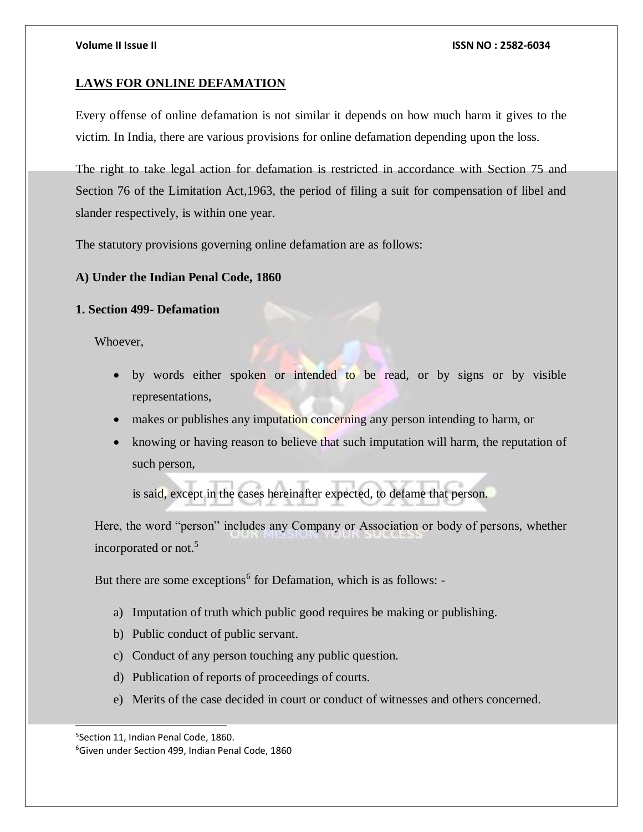## **LAWS FOR ONLINE DEFAMATION**

Every offense of online defamation is not similar it depends on how much harm it gives to the victim. In India, there are various provisions for online defamation depending upon the loss.

The right to take legal action for defamation is restricted in accordance with Section 75 and Section 76 of the Limitation Act,1963, the period of filing a suit for compensation of libel and slander respectively, is within one year.

The statutory provisions governing online defamation are as follows:

## **A) Under the Indian Penal Code, 1860**

## **1. Section 499- Defamation**

Whoever,

- by words either spoken or intended to be read, or by signs or by visible representations,
- makes or publishes any imputation concerning any person intending to harm, or
- knowing or having reason to believe that such imputation will harm, the reputation of such person,

is said, except in the cases hereinafter expected, to defame that person.

Here, the word "person" includes any Company or Association or body of persons, whether incorporated or not.<sup>5</sup>

But there are some exceptions<sup>6</sup> for Defamation, which is as follows: -

- a) Imputation of truth which public good requires be making or publishing.
- b) Public conduct of public servant.
- c) Conduct of any person touching any public question.
- d) Publication of reports of proceedings of courts.
- e) Merits of the case decided in court or conduct of witnesses and others concerned.

l

<sup>5</sup> Section 11, Indian Penal Code, 1860.

<sup>6</sup>Given under Section 499, Indian Penal Code, 1860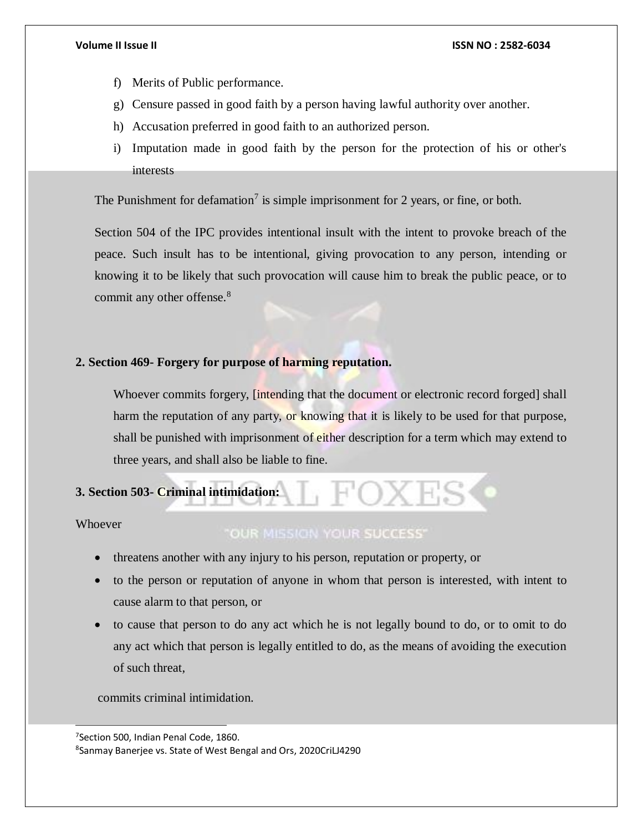- f) Merits of Public performance.
- g) Censure passed in good faith by a person having lawful authority over another.
- h) Accusation preferred in good faith to an authorized person.
- i) Imputation made in good faith by the person for the protection of his or other's interests

The Punishment for defamation<sup>7</sup> is simple imprisonment for 2 years, or fine, or both.

Section 504 of the IPC provides intentional insult with the intent to provoke breach of the peace. Such insult has to be intentional, giving provocation to any person, intending or knowing it to be likely that such provocation will cause him to break the public peace, or to commit any other offense.<sup>8</sup>

## **2. Section 469- Forgery for purpose of harming reputation.**

Whoever commits forgery, *[intending that the document or electronic record forged]* shall harm the reputation of any party, or knowing that it is likely to be used for that purpose, shall be punished with imprisonment of either description for a term which may extend to three years, and shall also be liable to fine.

## **3. Section 503- Criminal intimidation:**

**Whoever** 

l

## **"OUR MISSION YOUR SUCCESS"**

- threatens another with any injury to his person, reputation or property, or
- to the person or reputation of anyone in whom that person is interested, with intent to cause alarm to that person, or
- to cause that person to do any act which he is not legally bound to do, or to omit to do any act which that person is legally entitled to do, as the means of avoiding the execution of such threat,

commits criminal intimidation.

<sup>7</sup> Section 500, Indian Penal Code, 1860.

<sup>8</sup> Sanmay Banerjee vs. State of West Bengal and Ors, 2020CriLJ4290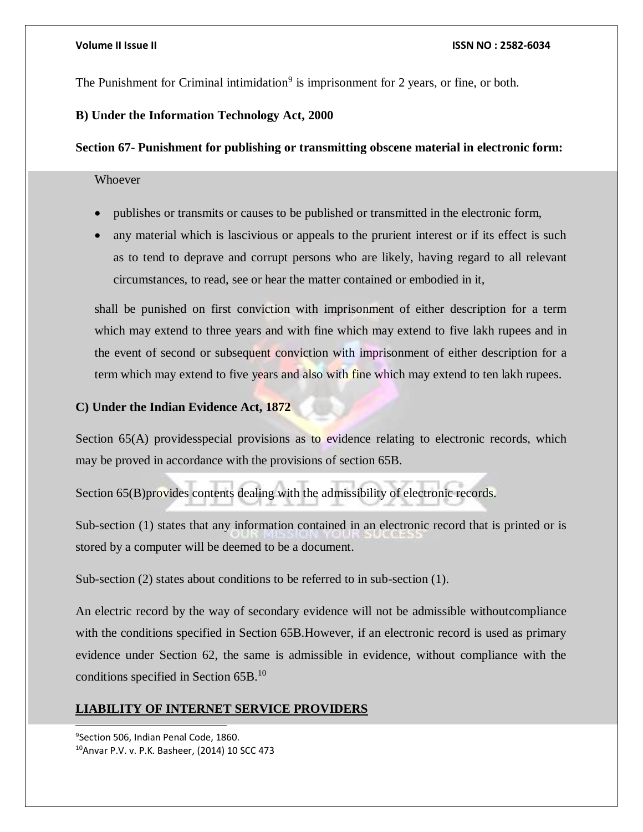The Punishment for Criminal intimidation<sup>9</sup> is imprisonment for 2 years, or fine, or both.

## **B) Under the Information Technology Act, 2000**

## **Section 67- Punishment for publishing or transmitting obscene material in electronic form:**

## Whoever

- publishes or transmits or causes to be published or transmitted in the electronic form,
- any material which is lascivious or appeals to the prurient interest or if its effect is such as to tend to deprave and corrupt persons who are likely, having regard to all relevant circumstances, to read, see or hear the matter contained or embodied in it,

shall be punished on first conviction with imprisonment of either description for a term which may extend to three years and with fine which may extend to five lakh rupees and in the event of second or subsequent conviction with imprisonment of either description for a term which may extend to five years and also with fine which may extend to ten lakh rupees.

## **C) Under the Indian Evidence Act, 1872**

Section 65(A) providesspecial provisions as to evidence relating to electronic records, which may be proved in accordance with the provisions of section 65B.

Section 65(B)provides contents dealing with the admissibility of electronic records.

Sub-section (1) states that any information contained in an electronic record that is printed or is stored by a computer will be deemed to be a document.

Sub-section (2) states about conditions to be referred to in sub-section (1).

An electric record by the way of secondary evidence will not be admissible withoutcompliance with the conditions specified in Section 65B. However, if an electronic record is used as primary evidence under Section 62, the same is admissible in evidence, without compliance with the conditions specified in Section 65B.<sup>10</sup>

## **LIABILITY OF INTERNET SERVICE PROVIDERS**

9 Section 506, Indian Penal Code, 1860. 10Anvar P.V. v. P.K. Basheer, (2014) 10 SCC 473

l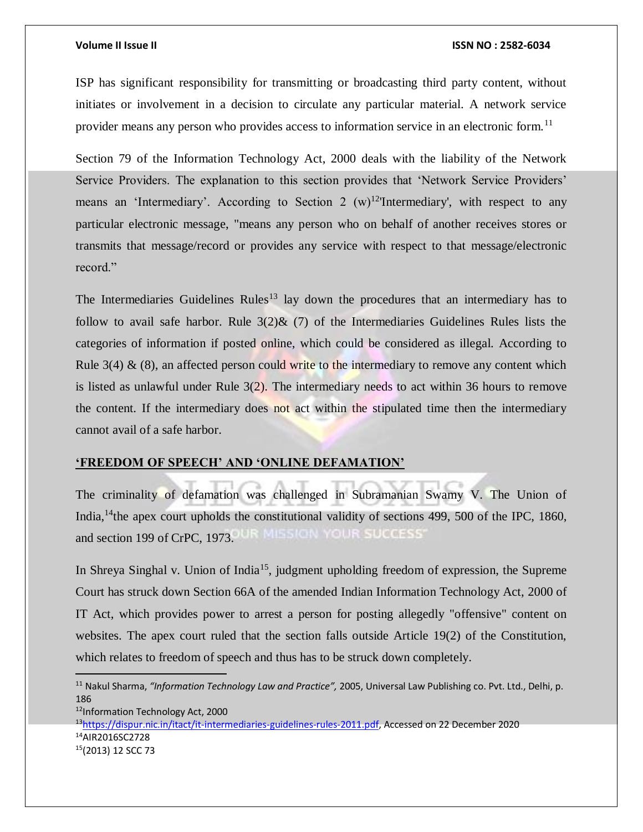$\overline{a}$ 

#### **Volume II Issue II ISSN NO : 2582-6034**

ISP has significant responsibility for transmitting or broadcasting third party content, without initiates or involvement in a decision to circulate any particular material. A network service provider means any person who provides access to information service in an electronic form.<sup>11</sup>

Section 79 of the Information Technology Act, 2000 deals with the liability of the Network Service Providers. The explanation to this section provides that 'Network Service Providers' means an 'Intermediary'. According to Section 2  $(w)^{12}$ 'Intermediary', with respect to any particular electronic message, "means any person who on behalf of another receives stores or transmits that message/record or provides any service with respect to that message/electronic record."

The Intermediaries Guidelines Rules<sup>13</sup> lay down the procedures that an intermediary has to follow to avail safe harbor. Rule  $3(2)$ & (7) of the Intermediaries Guidelines Rules lists the categories of information if posted online, which could be considered as illegal. According to Rule  $3(4)$  & (8), an affected person could write to the intermediary to remove any content which is listed as unlawful under Rule 3(2). The intermediary needs to act within 36 hours to remove the content. If the intermediary does not act within the stipulated time then the intermediary cannot avail of a safe harbor.

### **'FREEDOM OF SPEECH' AND 'ONLINE DEFAMATION'**

The criminality of defamation was challenged in Subramanian Swamy V. The Union of India,<sup>14</sup>the apex court upholds the constitutional validity of sections 499, 500 of the IPC, 1860, **IR MISSION YOUR SUCCESS'** and section 199 of CrPC, 1973.

In Shreya Singhal v. Union of India<sup>15</sup>, judgment upholding freedom of expression, the Supreme Court has struck down Section 66A of the amended Indian Information Technology Act, 2000 of IT Act, which provides power to arrest a person for posting allegedly "offensive" content on websites. The apex court ruled that the section falls outside Article 19(2) of the Constitution, which relates to freedom of speech and thus has to be struck down completely.

Information Technology Act, 2000 [https://dispur.nic.in/itact/it-intermediaries-guidelines-rules-2011.pdf,](https://dispur.nic.in/itact/it-intermediaries-guidelines-rules-2011.pdf) Accessed on 22 December 2020 AIR2016SC2728 (2013) 12 SCC 73

<sup>11</sup> Nakul Sharma, *"Information Technology Law and Practice",* 2005, Universal Law Publishing co. Pvt. Ltd., Delhi, p. 186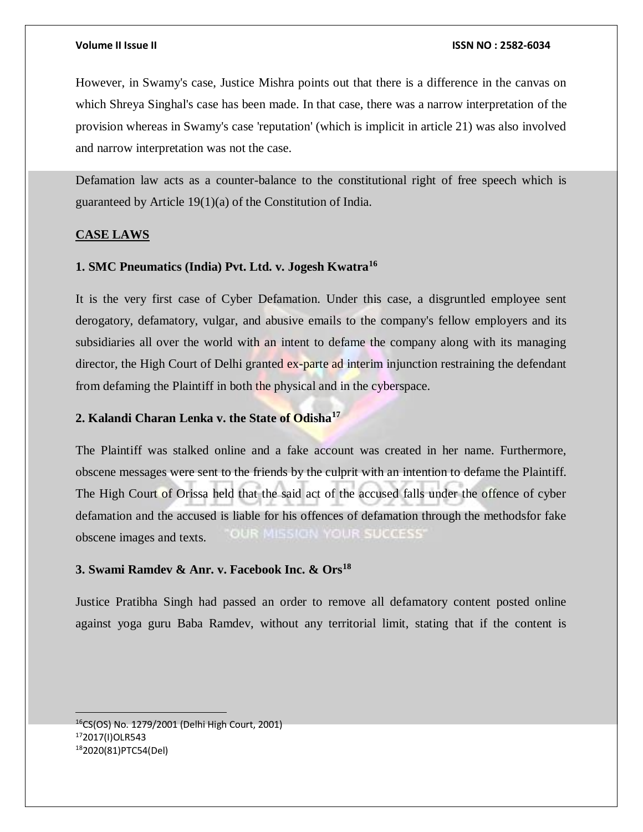However, in Swamy's case, Justice Mishra points out that there is a difference in the canvas on which Shreya Singhal's case has been made. In that case, there was a narrow interpretation of the provision whereas in Swamy's case 'reputation' (which is implicit in article 21) was also involved and narrow interpretation was not the case.

Defamation law acts as a counter-balance to the constitutional right of free speech which is guaranteed by Article 19(1)(a) of the Constitution of India.

### **CASE LAWS**

## **1. SMC Pneumatics (India) Pvt. Ltd. v. Jogesh Kwatra<sup>16</sup>**

It is the very first case of Cyber Defamation. Under this case, a disgruntled employee sent derogatory, defamatory, vulgar, and abusive emails to the company's fellow employers and its subsidiaries all over the world with an intent to defame the company along with its managing director, the High Court of Delhi granted ex-parte ad interim injunction restraining the defendant from defaming the Plaintiff in both the physical and in the cyberspace.

## **2. Kalandi Charan Lenka v. the State of Odisha<sup>17</sup>**

The Plaintiff was stalked online and a fake account was created in her name. Furthermore, obscene messages were sent to the friends by the culprit with an intention to defame the Plaintiff. The High Court of Orissa held that the said act of the accused falls under the offence of cyber defamation and the accused is liable for his offences of defamation through the methodsfor fake OUR MISSION YOUR SUCCESS' obscene images and texts.

## **3. Swami Ramdev & Anr. v. Facebook Inc. & Ors<sup>18</sup>**

Justice Pratibha Singh had passed an order to remove all defamatory content posted online against yoga guru Baba Ramdev, without any territorial limit, stating that if the content is

<sup>16</sup>CS(OS) No. 1279/2001 (Delhi High Court, 2001) <sup>17</sup>2017(I)OLR543 182020(81)PTC54(Del)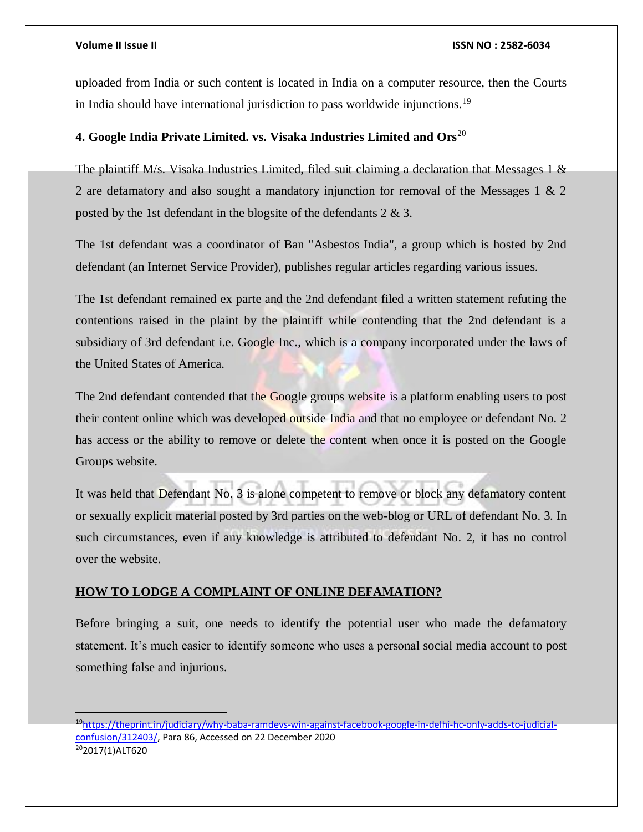#### **Volume II Issue II ISSN NO : 2582-6034**

uploaded from India or such content is located in India on a computer resource, then the Courts in India should have international jurisdiction to pass worldwide injunctions.<sup>19</sup>

## **4. Google India Private Limited. vs. Visaka Industries Limited and Ors**<sup>20</sup>

The plaintiff M/s. Visaka Industries Limited, filed suit claiming a declaration that Messages 1  $\&$ 2 are defamatory and also sought a mandatory injunction for removal of the Messages 1 & 2 posted by the 1st defendant in the blogsite of the defendants 2 & 3.

The 1st defendant was a coordinator of Ban "Asbestos India", a group which is hosted by 2nd defendant (an Internet Service Provider), publishes regular articles regarding various issues.

The 1st defendant remained ex parte and the 2nd defendant filed a written statement refuting the contentions raised in the plaint by the plaintiff while contending that the 2nd defendant is a subsidiary of 3rd defendant i.e. Google Inc., which is a company incorporated under the laws of the United States of America.

The 2nd defendant contended that the Google groups website is a platform enabling users to post their content online which was developed outside India and that no employee or defendant No. 2 has access or the ability to remove or delete the content when once it is posted on the Google Groups website.

It was held that Defendant No. 3 is alone competent to remove or block any defamatory content or sexually explicit material posted by 3rd parties on the web-blog or URL of defendant No. 3. In such circumstances, even if any knowledge is attributed to defendant No. 2, it has no control over the website.

## **HOW TO LODGE A COMPLAINT OF ONLINE DEFAMATION?**

Before bringing a suit, one needs to identify the potential user who made the defamatory statement. It's much easier to identify someone who uses a personal social media account to post something false and injurious.

<sup>19</sup>[https://theprint.in/judiciary/why-baba-ramdevs-win-against-facebook-google-in-delhi-hc-only-adds-to-judicial](https://theprint.in/judiciary/why-baba-ramdevs-win-against-facebook-google-in-delhi-hc-only-adds-to-judicial-confusion/312403/)[confusion/312403/,](https://theprint.in/judiciary/why-baba-ramdevs-win-against-facebook-google-in-delhi-hc-only-adds-to-judicial-confusion/312403/) Para 86, Accessed on 22 December 2020 202017(1)ALT620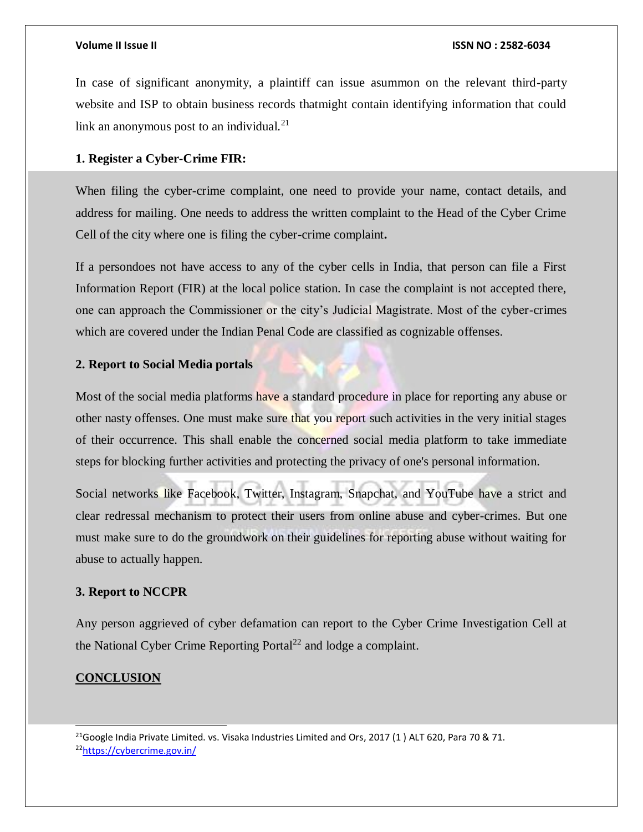In case of significant anonymity, a plaintiff can issue asummon on the relevant third-party website and ISP to obtain business records thatmight contain identifying information that could link an anonymous post to an individual. $^{21}$ 

## **1. Register a Cyber-Crime FIR:**

When filing the cyber-crime complaint, one need to provide your name, contact details, and address for mailing. One needs to address the written complaint to the Head of the Cyber Crime Cell of the city where one is filing the cyber-crime complaint**.**

If a persondoes not have access to any of the cyber cells in India, that person can file a First Information Report (FIR) at the local police station. In case the complaint is not accepted there, one can approach the Commissioner or the city's Judicial Magistrate. Most of the cyber-crimes which are covered under the Indian Penal Code are classified as cognizable offenses.

## **2. Report to Social Media portals**

Most of the social media platforms have a standard procedure in place for reporting any abuse or other nasty offenses. One must make sure that you report such activities in the very initial stages of their occurrence. This shall enable the concerned social media platform to take immediate steps for blocking further activities and protecting the privacy of one's personal information.

Social networks like Facebook, Twitter, Instagram, Snapchat, and YouTube have a strict and clear redressal mechanism to protect their users from online abuse and cyber-crimes. But one must make sure to do the groundwork on their guidelines for reporting abuse without waiting for abuse to actually happen.

## **3. Report to NCCPR**

Any person aggrieved of cyber defamation can report to the Cyber Crime Investigation Cell at the National Cyber Crime Reporting Portal<sup>22</sup> and lodge a complaint.

## **CONCLUSION**

l

<sup>21</sup>Google India Private Limited. vs. Visaka Industries Limited and Ors, 2017 (1) ALT 620, Para 70 & 71. 22<https://cybercrime.gov.in/>